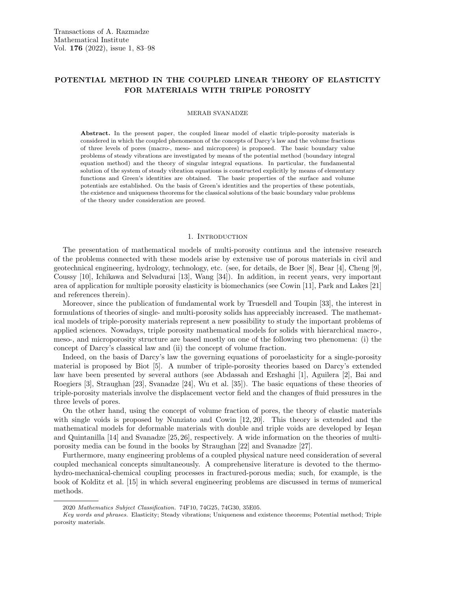# POTENTIAL METHOD IN THE COUPLED LINEAR THEORY OF ELASTICITY FOR MATERIALS WITH TRIPLE POROSITY

### MERAB SVANADZE

Abstract. In the present paper, the coupled linear model of elastic triple-porosity materials is considered in which the coupled phenomenon of the concepts of Darcy's law and the volume fractions of three levels of pores (macro-, meso- and micropores) is proposed. The basic boundary value problems of steady vibrations are investigated by means of the potential method (boundary integral equation method) and the theory of singular integral equations. In particular, the fundamental solution of the system of steady vibration equations is constructed explicitly by means of elementary functions and Green's identities are obtained. The basic properties of the surface and volume potentials are established. On the basis of Green's identities and the properties of these potentials, the existence and uniqueness theorems for the classical solutions of the basic boundary value problems of the theory under consideration are proved.

### 1. INTRODUCTION

The presentation of mathematical models of multi-porosity continua and the intensive research of the problems connected with these models arise by extensive use of porous materials in civil and geotechnical engineering, hydrology, technology, etc. (see, for details, de Boer [8], Bear [4], Cheng [9], Coussy [10], Ichikawa and Selvadurai [13], Wang [34]). In addition, in recent years, very important area of application for multiple porosity elasticity is biomechanics (see Cowin [11], Park and Lakes [21] and references therein).

Moreover, since the publication of fundamental work by Truesdell and Toupin [33], the interest in formulations of theories of single- and multi-porosity solids has appreciably increased. The mathematical models of triple-porosity materials represent a new possibility to study the important problems of applied sciences. Nowadays, triple porosity mathematical models for solids with hierarchical macro-, meso-, and microporosity structure are based mostly on one of the following two phenomena: (i) the concept of Darcy's classical law and (ii) the concept of volume fraction.

Indeed, on the basis of Darcy's law the governing equations of poroelasticity for a single-porosity material is proposed by Biot [5]. A number of triple-porosity theories based on Darcy's extended law have been presented by several authors (see Abdassah and Ershaghi [1], Aguilera [2], Bai and Roegiers [3], Straughan [23], Svanadze [24], Wu et al. [35]). The basic equations of these theories of triple-porosity materials involve the displacement vector field and the changes of fluid pressures in the three levels of pores.

On the other hand, using the concept of volume fraction of pores, the theory of elastic materials with single voids is proposed by Nunziato and Cowin [12, 20]. This theory is extended and the mathematical models for deformable materials with double and triple voids are developed by Ieşan and Quintanilla [14] and Svanadze [25, 26], respectively. A wide information on the theories of multiporosity media can be found in the books by Straughan [22] and Svanadze [27].

Furthermore, many engineering problems of a coupled physical nature need consideration of several coupled mechanical concepts simultaneously. A comprehensive literature is devoted to the thermohydro-mechanical-chemical coupling processes in fractured-porous media; such, for example, is the book of Kolditz et al. [15] in which several engineering problems are discussed in terms of numerical methods.

<sup>2020</sup> Mathematics Subject Classification. 74F10, 74G25, 74G30, 35E05.

Key words and phrases. Elasticity; Steady vibrations; Uniqueness and existence theorems; Potential method; Triple porosity materials.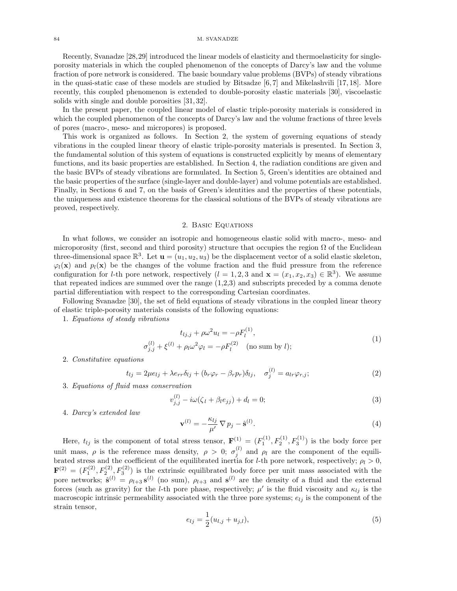#### 84 M. SVANADZE

Recently, Svanadze [28,29] introduced the linear models of elasticity and thermoelasticity for singleporosity materials in which the coupled phenomenon of the concepts of Darcy's law and the volume fraction of pore network is considered. The basic boundary value problems (BVPs) of steady vibrations in the quasi-static case of these models are studied by Bitsadze [6, 7] and Mikelashvili [17, 18]. More recently, this coupled phenomenon is extended to double-porosity elastic materials [30], viscoelastic solids with single and double porosities [31, 32].

In the present paper, the coupled linear model of elastic triple-porosity materials is considered in which the coupled phenomenon of the concepts of Darcy's law and the volume fractions of three levels of pores (macro-, meso- and micropores) is proposed.

This work is organized as follows. In Section 2, the system of governing equations of steady vibrations in the coupled linear theory of elastic triple-porosity materials is presented. In Section 3, the fundamental solution of this system of equations is constructed explicitly by means of elementary functions, and its basic properties are established. In Section 4, the radiation conditions are given and the basic BVPs of steady vibrations are formulated. In Section 5, Green's identities are obtained and the basic properties of the surface (single-layer and double-layer) and volume potentials are established. Finally, in Sections 6 and 7, on the basis of Green's identities and the properties of these potentials, the uniqueness and existence theorems for the classical solutions of the BVPs of steady vibrations are proved, respectively.

### 2. Basic Equations

In what follows, we consider an isotropic and homogeneous elastic solid with macro-, meso- and microporosity (first, second and third porosity) structure that occupies the region  $\Omega$  of the Euclidean three-dimensional space  $\mathbb{R}^3$ . Let  $\mathbf{u} = (u_1, u_2, u_3)$  be the displacement vector of a solid elastic skeleton,  $\varphi_l(\mathbf{x})$  and  $p_l(\mathbf{x})$  be the changes of the volume fraction and the fluid pressure from the reference configuration for *l*-th pore network, respectively  $(l = 1, 2, 3 \text{ and } \mathbf{x} = (x_1, x_2, x_3) \in \mathbb{R}^3$ . We assume that repeated indices are summed over the range (1,2,3) and subscripts preceded by a comma denote partial differentiation with respect to the corresponding Cartesian coordinates.

Following Svanadze [30], the set of field equations of steady vibrations in the coupled linear theory of elastic triple-porosity materials consists of the following equations:

1. Equations of steady vibrations

$$
t_{lj,j} + \rho \omega^2 u_l = -\rho F_l^{(1)},
$$
  
\n
$$
\sigma_{j,j}^{(l)} + \xi^{(l)} + \rho_l \omega^2 \varphi_l = -\rho F_l^{(2)} \quad \text{(no sum by } l);
$$
\n(1)

2. Constitutive equations

$$
t_{lj} = 2\mu e_{lj} + \lambda e_{rr}\delta_{lj} + (b_r\varphi_r - \beta_r p_r)\delta_{lj}, \quad \sigma_j^{(l)} = a_{lr}\varphi_{r,j};
$$
\n(2)

3. Equations of fluid mass conservation

$$
v_{j,j}^{(l)} - i\omega(\zeta_l + \beta_l e_{jj}) + d_l = 0;
$$
\n<sup>(3)</sup>

4. Darcy's extended law

$$
\mathbf{v}^{(l)} = -\frac{\kappa_{lj}}{\mu'} \nabla p_j - \hat{\mathbf{s}}^{(l)}.
$$
\n(4)

Here,  $t_{lj}$  is the component of total stress tensor,  $\mathbf{F}^{(1)} = (F_1^{(1)}, F_2^{(1)}, F_3^{(1)})$  is the body force per unit mass,  $\rho$  is the reference mass density,  $\rho > 0$ ;  $\sigma_j^{(l)}$  and  $\rho_l$  are the component of the equilibrated stress and the coefficient of the equilibrated inertia for *l*-th pore network, respectively;  $\rho_l > 0$ ,  $\mathbf{F}^{(2)} = (F_1^{(2)}, F_2^{(2)}, F_3^{(2)})$  is the extrinsic equilibrated body force per unit mass associated with the pore networks;  $\hat{\mathbf{s}}^{(l)} = \rho_{l+3} \mathbf{s}^{(l)}$  (no sum),  $\rho_{l+3}$  and  $\mathbf{s}^{(l)}$  are the density of a fluid and the external forces (such as gravity) for the *l*-th pore phase, respectively;  $\mu'$  is the fluid viscosity and  $\kappa_{lj}$  is the macroscopic intrinsic permeability associated with the three pore systems;  $e_{lj}$  is the component of the strain tensor,

$$
e_{lj} = \frac{1}{2}(u_{l,j} + u_{j,l}),
$$
\n(5)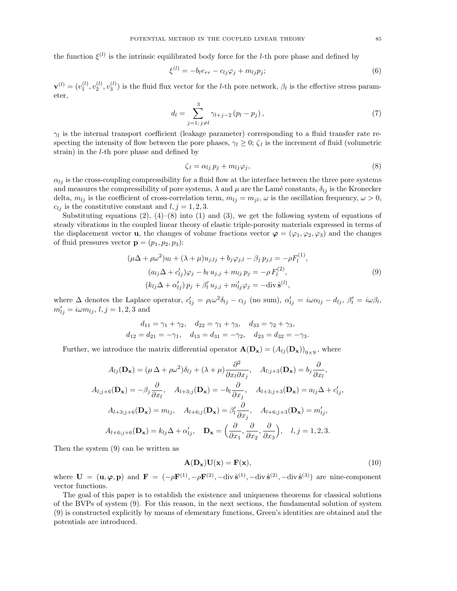the function  $\xi^{(l)}$  is the intrinsic equilibrated body force for the *l*-th pore phase and defined by

$$
\xi^{(l)} = -b_l e_{rr} - c_{lj} \varphi_j + m_{lj} p_j; \qquad (6)
$$

 $\mathbf{v}^{(l)}=(v_1^{(l)},v_2^{(l)},v_3^{(l)})$  is the fluid flux vector for the *l*-th pore network,  $\beta_l$  is the effective stress parameter,

$$
d_l = \sum_{j=1;\,j\neq l}^{3} \gamma_{l+j-2} (p_l - p_j), \tag{7}
$$

 $\gamma_l$  is the internal transport coefficient (leakage parameter) corresponding to a fluid transfer rate respecting the intensity of flow between the pore phases,  $\gamma_l \geq 0$ ;  $\zeta_l$  is the increment of fluid (volumetric strain) in the l-th pore phase and defined by

$$
\zeta_l = \alpha_{lj} p_j + m_{lj} \varphi_j,\tag{8}
$$

 $\alpha_{lj}$  is the cross-coupling compressibility for a fluid flow at the interface between the three pore systems and measures the compressibility of pore systems,  $\lambda$  and  $\mu$  are the Lamé constants,  $\delta_{lj}$  is the Kronecker delta,  $m_{lj}$  is the coefficient of cross-correlation term,  $m_{lj} = m_{jl}$ ,  $\omega$  is the oscillation frequency,  $\omega > 0$ ,  $c_{lj}$  is the constitutive constant and  $l, j = 1, 2, 3$ .

Substituting equations (2),  $(4)$ – $(8)$  into (1) and (3), we get the following system of equations of steady vibrations in the coupled linear theory of elastic triple-porosity materials expressed in terms of the displacement vector **u**, the changes of volume fractions vector  $\varphi = (\varphi_1, \varphi_2, \varphi_3)$  and the changes of fluid pressures vector  $\mathbf{p} = (p_1, p_2, p_3)$ :

$$
(\mu \Delta + \rho \omega^2) u_l + (\lambda + \mu) u_{j,lj} + b_j \varphi_{j,l} - \beta_j p_{j,l} = -\rho F_l^{(1)},
$$
  
\n
$$
(a_{lj} \Delta + c'_{lj}) \varphi_j - b_l u_{j,j} + m_{lj} p_j = -\rho F_l^{(2)},
$$
  
\n
$$
(k_{lj} \Delta + \alpha'_{lj}) p_j + \beta'_l u_{j,j} + m'_{lj} \varphi_j = -\text{div } \hat{\mathbf{s}}^{(l)},
$$
\n(9)

where  $\Delta$  denotes the Laplace operator,  $c'_{lj} = \rho_l \omega^2 \delta_{lj} - c_{lj}$  (no sum),  $\alpha'_{lj} = i \omega \alpha_{lj} - d_{lj}$ ,  $\beta'_{l} = i \omega \beta_{l}$ ,  $m'_{lj} = i \omega m_{lj}, l, j = 1, 2, 3$  and

$$
d_{11} = \gamma_1 + \gamma_2, \quad d_{22} = \gamma_1 + \gamma_3, \quad d_{33} = \gamma_2 + \gamma_3,
$$
  

$$
d_{12} = d_{21} = -\gamma_1, \quad d_{13} = d_{31} = -\gamma_2, \quad d_{23} = d_{32} = -\gamma_3.
$$

Further, we introduce the matrix differential operator  $\mathbf{A}(\mathbf{D}_{\mathbf{x}}) = (A_{lj}(\mathbf{D}_{\mathbf{x}}))_{9 \times 9}$ , where

$$
A_{lj}(\mathbf{D}_{\mathbf{x}}) = (\mu \Delta + \rho \omega^2) \delta_{lj} + (\lambda + \mu) \frac{\partial^2}{\partial x_l \partial x_j}, \quad A_{l;j+3}(\mathbf{D}_{\mathbf{x}}) = b_j \frac{\partial}{\partial x_l},
$$
  
\n
$$
A_{l;j+6}(\mathbf{D}_{\mathbf{x}}) = -\beta_j \frac{\partial}{\partial x_l}, \quad A_{l+3;j}(\mathbf{D}_{\mathbf{x}}) = -b_l \frac{\partial}{\partial x_j}, \quad A_{l+3;j+3}(\mathbf{D}_{\mathbf{x}}) = a_{lj}\Delta + c'_{lj},
$$
  
\n
$$
A_{l+3;j+6}(\mathbf{D}_{\mathbf{x}}) = m_{lj}, \quad A_{l+6;j}(\mathbf{D}_{\mathbf{x}}) = \beta'_l \frac{\partial}{\partial x_j}, \quad A_{l+6;j+3}(\mathbf{D}_{\mathbf{x}}) = m'_{lj},
$$
  
\n
$$
A_{l+6;j+6}(\mathbf{D}_{\mathbf{x}}) = k_{lj}\Delta + \alpha'_{lj}, \quad \mathbf{D}_{\mathbf{x}} = \left(\frac{\partial}{\partial x_1}, \frac{\partial}{\partial x_2}, \frac{\partial}{\partial x_3}\right), \quad l, j = 1, 2, 3.
$$

Then the system (9) can be written as

$$
\mathbf{A}(\mathbf{D}_{\mathbf{x}})\mathbf{U}(\mathbf{x}) = \mathbf{F}(\mathbf{x}),\tag{10}
$$

where  $\mathbf{U} = (\mathbf{u}, \boldsymbol{\varphi}, \mathbf{p})$  and  $\mathbf{F} = (-\rho \mathbf{F}^{(1)}, -\rho \mathbf{F}^{(2)}, -\text{div}\,\hat{\mathbf{s}}^{(1)}, -\text{div}\,\hat{\mathbf{s}}^{(2)}, -\text{div}\,\hat{\mathbf{s}}^{(3)})$  are nine-component vector functions.

The goal of this paper is to establish the existence and uniqueness theorems for classical solutions of the BVPs of system (9). For this reason, in the next sections, the fundamental solution of system (9) is constructed explicitly by means of elementary functions, Green's identities are obtained and the potentials are introduced.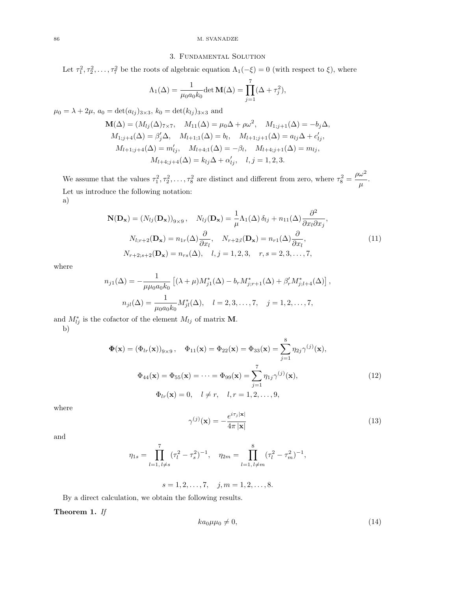### 86 M. SVANADZE

# 3. Fundamental Solution

Let  $\tau_1^2, \tau_2^2, \ldots, \tau_7^2$  be the roots of algebraic equation  $\Lambda_1(-\xi) = 0$  (with respect to  $\xi$ ), where

$$
\Lambda_1(\Delta) = \frac{1}{\mu_0 a_0 k_0} \det \mathbf{M}(\Delta) = \prod_{j=1}^7 (\Delta + \tau_j^2),
$$

 $\mu_0 = \lambda + 2\mu$ ,  $a_0 = \det(a_{lj})_{3\times 3}$ ,  $k_0 = \det(k_{lj})_{3\times 3}$  and

$$
\mathbf{M}(\Delta) = (M_{lj}(\Delta)_{7 \times 7}, \quad M_{11}(\Delta) = \mu_0 \Delta + \rho \omega^2, \quad M_{1;j+1}(\Delta) = -b_j \Delta, M_{1;j+4}(\Delta) = \beta'_j \Delta, \quad M_{l+1;1}(\Delta) = b_l, \quad M_{l+1;j+1}(\Delta) = a_{lj} \Delta + c'_{lj}, M_{l+1;j+4}(\Delta) = m'_{lj}, \quad M_{l+4;1}(\Delta) = -\beta_l, \quad M_{l+4;j+1}(\Delta) = m_{lj}, M_{l+4;j+4}(\Delta) = k_{lj} \Delta + c'_{lj}, \quad l, j = 1, 2, 3.
$$

We assume that the values  $\tau_1^2, \tau_2^2, \ldots, \tau_8^2$  are distinct and different from zero, where  $\tau_8^2$  =  $\rho\omega^2$  $\frac{\infty}{\mu}$ . Let us introduce the following notation:

a)

$$
\mathbf{N}(\mathbf{D}_{\mathbf{x}}) = (N_{lj}(\mathbf{D}_{\mathbf{x}}))_{9 \times 9}, \quad N_{lj}(\mathbf{D}_{\mathbf{x}}) = \frac{1}{\mu} \Lambda_1(\Delta) \delta_{lj} + n_{11}(\Delta) \frac{\partial^2}{\partial x_l \partial x_j},
$$

$$
N_{l;r+2}(\mathbf{D}_{\mathbf{x}}) = n_{1r}(\Delta) \frac{\partial}{\partial x_l}, \quad N_{r+2;l}(\mathbf{D}_{\mathbf{x}}) = n_{r1}(\Delta) \frac{\partial}{\partial x_l},
$$

$$
N_{r+2;s+2}(\mathbf{D}_{\mathbf{x}}) = n_{rs}(\Delta), \quad l, j = 1, 2, 3, \quad r, s = 2, 3, ..., 7,
$$

$$
(11)
$$

where

$$
n_{j1}(\Delta) = -\frac{1}{\mu\mu_0 a_0 k_0} \left[ (\lambda + \mu) M_{j1}^*(\Delta) - b_r M_{j,r+1}^*(\Delta) + \beta'_r M_{j,l+4}^*(\Delta) \right],
$$
  

$$
n_{jl}(\Delta) = \frac{1}{\mu_0 a_0 k_0} M_{jl}^*(\Delta), \quad l = 2, 3, ..., 7, \quad j = 1, 2, ..., 7,
$$

and  $M_{lj}^*$  is the cofactor of the element  $M_{lj}$  of matrix **M**. b)

$$
\Phi(\mathbf{x}) = (\Phi_{lr}(\mathbf{x}))_{9 \times 9}, \quad \Phi_{11}(\mathbf{x}) = \Phi_{22}(\mathbf{x}) = \Phi_{33}(\mathbf{x}) = \sum_{j=1}^{8} \eta_{2j} \gamma^{(j)}(\mathbf{x}),
$$

$$
\Phi_{44}(\mathbf{x}) = \Phi_{55}(\mathbf{x}) = \dots = \Phi_{99}(\mathbf{x}) = \sum_{j=1}^{7} \eta_{1j} \gamma^{(j)}(\mathbf{x}),
$$

$$
\Phi_{lr}(\mathbf{x}) = 0, \quad l \neq r, \quad l, r = 1, 2, \dots, 9,
$$
(12)

where

$$
\gamma^{(j)}(\mathbf{x}) = -\frac{e^{i\tau_j|\mathbf{x}|}}{4\pi|\mathbf{x}|}\tag{13}
$$

and

$$
\eta_{1s} = \prod_{l=1, l \neq s}^{7} (\tau_l^2 - \tau_s^2)^{-1}, \quad \eta_{2m} = \prod_{l=1, l \neq m}^{8} (\tau_l^2 - \tau_m^2)^{-1},
$$

$$
s = 1, 2, \dots, 7, \quad j, m = 1, 2, \dots, 8.
$$

$$
s=1,2,\ldots, l, \quad j,m=1,2,\ldots, l
$$

By a direct calculation, we obtain the following results.

### Theorem 1. If

$$
ka_0\mu\mu_0 \neq 0,\tag{14}
$$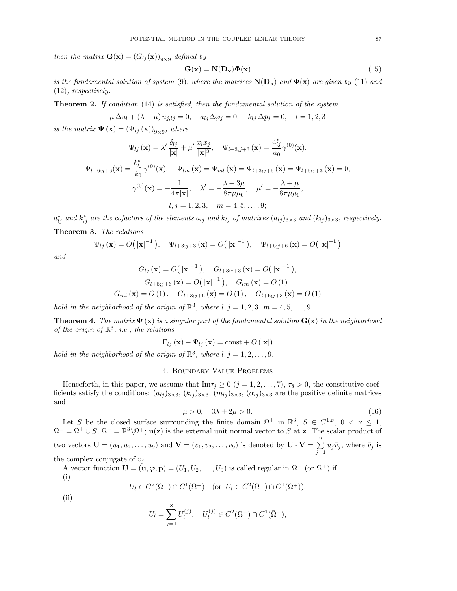then the matrix  $\mathbf{G}(\mathbf{x}) = (G_{lj}(\mathbf{x}))_{9 \times 9}$  defined by

$$
G(x) = N(D_x)\Phi(x)
$$
 (15)

is the fundamental solution of system (9), where the matrices  $N(D_x)$  and  $\Phi(x)$  are given by (11) and (12), respectively.

**Theorem 2.** If condition  $(14)$  is satisfied, then the fundamental solution of the system

$$
\mu \Delta u_l + (\lambda + \mu) u_{j,lj} = 0
$$
,  $a_{lj} \Delta \varphi_j = 0$ ,  $k_{lj} \Delta p_j = 0$ ,  $l = 1, 2, 3$ 

is the matrix  $\Psi(\mathbf{x}) = (\Psi_{lj}(\mathbf{x}))_{9 \times 9}$ , where

$$
\Psi_{lj}(\mathbf{x}) = \lambda' \frac{\delta_{lj}}{|\mathbf{x}|} + \mu' \frac{x_l x_j}{|\mathbf{x}|^3}, \quad \Psi_{l+3;j+3}(\mathbf{x}) = \frac{a_{lj}^*}{a_0} \gamma^{(0)}(\mathbf{x}),
$$
  

$$
\Psi_{l+6;j+6}(\mathbf{x}) = \frac{k_{lj}^*}{k_0} \gamma^{(0)}(\mathbf{x}), \quad \Psi_{lm}(\mathbf{x}) = \Psi_{ml}(\mathbf{x}) = \Psi_{l+3;j+6}(\mathbf{x}) = \Psi_{l+6;j+3}(\mathbf{x}) = 0,
$$
  

$$
\gamma^{(0)}(\mathbf{x}) = -\frac{1}{4\pi|\mathbf{x}|}, \quad \lambda' = -\frac{\lambda + 3\mu}{8\pi\mu\mu_0}, \quad \mu' = -\frac{\lambda + \mu}{8\pi\mu\mu_0},
$$
  

$$
l, j = 1, 2, 3, \quad m = 4, 5, ..., 9;
$$

 $a_{lj}^*$  and  $k_{lj}^*$  are the cofactors of the elements  $a_{lj}$  and  $k_{lj}$  of matrixes  $(a_{lj})_{3\times 3}$  and  $(k_{lj})_{3\times 3}$ , respectively. Theorem 3. The relations

$$
\Psi_{lj}(\mathbf{x}) = O(|\mathbf{x}|^{-1}), \quad \Psi_{l+3;j+3}(\mathbf{x}) = O(|\mathbf{x}|^{-1}), \quad \Psi_{l+6;j+6}(\mathbf{x}) = O(|\mathbf{x}|^{-1})
$$

and

$$
G_{lj}(\mathbf{x}) = O(|\mathbf{x}|^{-1}), \quad G_{l+3;j+3}(\mathbf{x}) = O(|\mathbf{x}|^{-1}),
$$
  
\n
$$
G_{l+6;j+6}(\mathbf{x}) = O(|\mathbf{x}|^{-1}), \quad G_{lm}(\mathbf{x}) = O(1),
$$
  
\n
$$
G_{ml}(\mathbf{x}) = O(1), \quad G_{l+3;j+6}(\mathbf{x}) = O(1), \quad G_{l+6;j+3}(\mathbf{x}) = O(1)
$$

hold in the neighborhood of the origin of  $\mathbb{R}^3$ , where  $l, j = 1, 2, 3, m = 4, 5, ..., 9$ .

**Theorem 4.** The matrix  $\Psi(\mathbf{x})$  is a singular part of the fundamental solution  $\mathbf{G}(\mathbf{x})$  in the neighborhood of the origin of  $\mathbb{R}^3$ , i.e., the relations

$$
\Gamma_{lj}(\mathbf{x}) - \Psi_{lj}(\mathbf{x}) = \text{const} + O(|\mathbf{x}|)
$$

hold in the neighborhood of the origin of  $\mathbb{R}^3$ , where  $l, j = 1, 2, \ldots, 9$ .

## 4. Boundary Value Problems

Henceforth, in this paper, we assume that  $\text{Im}\tau_j \geq 0$   $(j = 1, 2, ..., 7), \tau_8 > 0$ , the constitutive coefficients satisfy the conditions:  $(a_{lj})_{3\times3}$ ,  $(k_{lj})_{3\times3}$ ,  $(m_{lj})_{3\times3}$ ,  $(\alpha_{lj})_{3\times3}$  are the positive definite matrices and

$$
\mu > 0, \quad 3\lambda + 2\mu > 0. \tag{16}
$$

Let S be the closed surface surrounding the finite domain  $\Omega^+$  in  $\mathbb{R}^3$ ,  $S \in C^{1,\nu}$ ,  $0 < \nu \leq 1$ ,  $\overline{\Omega^+} = \Omega^+ \cup S$ ,  $\Omega^- = \mathbb{R}^3 \backslash \overline{\Omega^+}$ ; n(z) is the external unit normal vector to S at z. The scalar product of two vectors  $\mathbf{U} = (u_1, u_2, \dots, u_9)$  and  $\mathbf{V} = (v_1, v_2, \dots, v_9)$  is denoted by  $\mathbf{U} \cdot \mathbf{V} = \sum_{n=1}^{9}$  $\sum_{j=1} u_j \bar{v}_j$ , where  $\bar{v}_j$  is

the complex conjugate of  $v_j$ .

A vector function  $\mathbf{U} = (\mathbf{u}, \boldsymbol{\varphi}, \mathbf{p}) = (U_1, U_2, \dots, U_9)$  is called regular in  $\Omega^-$  (or  $\Omega^+$ ) if (i)

$$
U_l \in C^2(\Omega^-) \cap C^1(\overline{\Omega^-}) \quad \text{(or } U_l \in C^2(\Omega^+) \cap C^1(\overline{\Omega^+})),
$$

$$
(ii)
$$

$$
U_l = \sum_{j=1}^{8} U_l^{(j)}, \quad U_l^{(j)} \in C^2(\Omega^-) \cap C^1(\bar{\Omega}^-),
$$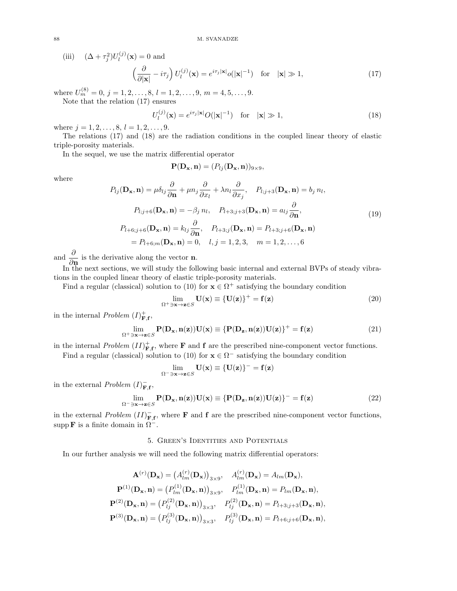(iii)  $(\Delta + \tau_j^2)U_l^{(j)}$  $l_l^{(J)}(\mathbf{x})=0$  and

$$
\left(\frac{\partial}{\partial |\mathbf{x}|} - i\tau_j\right) U_l^{(j)}(\mathbf{x}) = e^{i\tau_j |\mathbf{x}|} o(|\mathbf{x}|^{-1}) \quad \text{for} \quad |\mathbf{x}| \gg 1,
$$
\n(17)

where  $U_m^{(8)} = 0, j = 1, 2, \ldots, 8, l = 1, 2, \ldots, 9, m = 4, 5, \ldots, 9.$ 

Note that the relation (17) ensures

$$
U_l^{(j)}(\mathbf{x}) = e^{i\tau_j|\mathbf{x}|} O(|\mathbf{x}|^{-1}) \quad \text{for} \quad |\mathbf{x}| \gg 1,
$$
\n(18)

where  $j = 1, 2, \ldots, 8, l = 1, 2, \ldots, 9$ .

The relations (17) and (18) are the radiation conditions in the coupled linear theory of elastic triple-porosity materials.

In the sequel, we use the matrix differential operator

$$
\mathbf{P}(\mathbf{D}_{\mathbf{x}}, \mathbf{n}) = (P_{lj}(\mathbf{D}_{\mathbf{x}}, \mathbf{n}))_{9 \times 9},
$$

where

$$
P_{lj}(\mathbf{D}_{\mathbf{x}}, \mathbf{n}) = \mu \delta_{lj} \frac{\partial}{\partial \mathbf{n}} + \mu n_j \frac{\partial}{\partial x_l} + \lambda n_l \frac{\partial}{\partial x_j}, \quad P_{l;j+3}(\mathbf{D}_{\mathbf{x}}, \mathbf{n}) = b_j n_l,
$$
  
\n
$$
P_{l;j+6}(\mathbf{D}_{\mathbf{x}}, \mathbf{n}) = -\beta_j n_l, \quad P_{l+3;j+3}(\mathbf{D}_{\mathbf{x}}, \mathbf{n}) = a_{lj} \frac{\partial}{\partial \mathbf{n}},
$$
  
\n
$$
P_{l+6;j+6}(\mathbf{D}_{\mathbf{x}}, \mathbf{n}) = k_{lj} \frac{\partial}{\partial \mathbf{n}}, \quad P_{l+3;j}(\mathbf{D}_{\mathbf{x}}, \mathbf{n}) = P_{l+3;j+6}(\mathbf{D}_{\mathbf{x}}, \mathbf{n})
$$
  
\n
$$
= P_{l+6;m}(\mathbf{D}_{\mathbf{x}}, \mathbf{n}) = 0, \quad l, j = 1, 2, 3, \quad m = 1, 2, ..., 6
$$
 (19)

and  $\frac{\partial}{\partial \mathbf{n}}$  is the derivative along the vector **n**.

In the next sections, we will study the following basic internal and external BVPs of steady vibrations in the coupled linear theory of elastic triple-porosity materials.

Find a regular (classical) solution to (10) for  $\mathbf{x} \in \Omega^+$  satisfying the boundary condition

$$
\lim_{\Omega^+ \ni \mathbf{x} \to \mathbf{z} \in S} \mathbf{U}(\mathbf{x}) \equiv {\mathbf{U}(\mathbf{z})}^+ = \mathbf{f}(\mathbf{z}) \tag{20}
$$

in the internal *Problem*  $(I)_{\mathbf{F},\mathbf{f}}^+$ ,

$$
\lim_{\Omega^+ \ni \mathbf{x} \to \mathbf{z} \in S} \mathbf{P}(\mathbf{D}_{\mathbf{x}}, \mathbf{n}(\mathbf{z})) \mathbf{U}(\mathbf{x}) \equiv \{ \mathbf{P}(\mathbf{D}_{\mathbf{z}}, \mathbf{n}(\mathbf{z})) \mathbf{U}(\mathbf{z}) \}^+ = \mathbf{f}(\mathbf{z}) \tag{21}
$$

in the internal Problem  $(II)_{\mathbf{F},\mathbf{f}}^+$ , where  $\mathbf F$  and  $\mathbf f$  are the prescribed nine-component vector functions. Find a regular (classical) solution to (10) for  $\mathbf{x} \in \Omega^-$  satisfying the boundary condition

$$
\lim_{\Omega^- \ni \mathbf{x} \to \mathbf{z} \in S} \mathbf{U}(\mathbf{x}) \equiv \{ \mathbf{U}(\mathbf{z}) \}^- = \mathbf{f}(\mathbf{z})
$$

in the external *Problem*  $(I)_{\mathbf{F},\mathbf{f}}^-$ ,

$$
\lim_{\Omega^{-}\ni\mathbf{x}\to\mathbf{z}\in S} \mathbf{P}(\mathbf{D}_{\mathbf{x}}, \mathbf{n}(\mathbf{z})) \mathbf{U}(\mathbf{x}) \equiv \{ \mathbf{P}(\mathbf{D}_{\mathbf{z}}, \mathbf{n}(\mathbf{z})) \mathbf{U}(\mathbf{z}) \}^{-} = \mathbf{f}(\mathbf{z}) \tag{22}
$$

in the external *Problem*  $(II)_{\mathbf{F},\mathbf{f}}^-$ , where **F** and **f** are the prescribed nine-component vector functions, supp **F** is a finite domain in  $\Omega^-$ .

### 5. Green's Identities and Potentials

In our further analysis we will need the following matrix differential operators:

$$
\mathbf{A}^{(r)}(\mathbf{D}_{\mathbf{x}}) = (A_{lm}^{(r)}(\mathbf{D}_{\mathbf{x}}))_{3\times9}, \quad A_{lm}^{(r)}(\mathbf{D}_{\mathbf{x}}) = A_{lm}(\mathbf{D}_{\mathbf{x}}),
$$

$$
\mathbf{P}^{(1)}(\mathbf{D}_{\mathbf{x}}, \mathbf{n}) = (P_{lm}^{(1)}(\mathbf{D}_{\mathbf{x}}, \mathbf{n}))_{3\times9}, \quad P_{lm}^{(1)}(\mathbf{D}_{\mathbf{x}}, \mathbf{n}) = P_{lm}(\mathbf{D}_{\mathbf{x}}, \mathbf{n}),
$$

$$
\mathbf{P}^{(2)}(\mathbf{D}_{\mathbf{x}}, \mathbf{n}) = (P_{lj}^{(2)}(\mathbf{D}_{\mathbf{x}}, \mathbf{n}))_{3\times3}, \quad P_{lj}^{(2)}(\mathbf{D}_{\mathbf{x}}, \mathbf{n}) = P_{l+3;j+3}(\mathbf{D}_{\mathbf{x}}, \mathbf{n}),
$$

$$
\mathbf{P}^{(3)}(\mathbf{D}_{\mathbf{x}}, \mathbf{n}) = (P_{lj}^{(3)}(\mathbf{D}_{\mathbf{x}}, \mathbf{n}))_{3\times3}, \quad P_{lj}^{(3)}(\mathbf{D}_{\mathbf{x}}, \mathbf{n}) = P_{l+6;j+6}(\mathbf{D}_{\mathbf{x}}, \mathbf{n}),
$$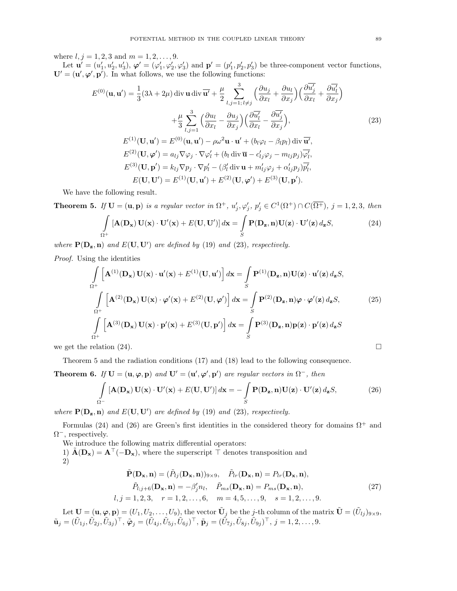where  $l, j = 1, 2, 3$  and  $m = 1, 2, ..., 9$ .

Let  $\mathbf{u}' = (u'_1, u'_2, u'_3), \boldsymbol{\varphi}' = (\varphi'_1, \varphi'_2, \varphi'_3)$  and  $\mathbf{p}' = (p'_1, p'_2, p'_3)$  be three-component vector functions,  $\mathbf{U}' = (\mathbf{u}', \boldsymbol{\varphi}', \mathbf{p}')$ . In what follows, we use the following functions:

$$
E^{(0)}(\mathbf{u}, \mathbf{u}') = \frac{1}{3} (3\lambda + 2\mu) \operatorname{div} \mathbf{u} \operatorname{div} \overline{\mathbf{u}'} + \frac{\mu}{2} \sum_{l,j=1; l \neq j}^{3} \left( \frac{\partial u_j}{\partial x_l} + \frac{\partial u_l}{\partial x_j} \right) \left( \frac{\partial \overline{u'_j}}{\partial x_l} + \frac{\partial \overline{u'_l}}{\partial x_j} \right)
$$
  
+ 
$$
\frac{\mu}{3} \sum_{l,j=1}^{3} \left( \frac{\partial u_l}{\partial x_l} - \frac{\partial u_j}{\partial x_j} \right) \left( \frac{\partial \overline{u'_l}}{\partial x_l} - \frac{\partial \overline{u'_j}}{\partial x_j} \right),
$$
  

$$
E^{(1)}(\mathbf{U}, \mathbf{u}') = E^{(0)}(\mathbf{u}, \mathbf{u}') - \rho \omega^2 \mathbf{u} \cdot \mathbf{u}' + (b_l \varphi_l - \beta_l p_l) \operatorname{div} \overline{\mathbf{u}'},
$$
  

$$
E^{(2)}(\mathbf{U}, \boldsymbol{\varphi}') = a_{lj} \nabla \varphi_j \cdot \nabla \varphi'_l + (b_l \operatorname{div} \overline{\mathbf{u}} - c'_{lj} \varphi_j - m_{lj} p_j) \overline{\varphi'_l},
$$
  

$$
E^{(3)}(\mathbf{U}, \mathbf{p}') = k_{lj} \nabla p_j \cdot \nabla p'_l - (\beta'_l \operatorname{div} \mathbf{u} + m'_{lj} \varphi_j + \alpha'_{lj} p_j) \overline{p'_l},
$$
  

$$
E(\mathbf{U}, \mathbf{U}') = E^{(1)}(\mathbf{U}, \mathbf{u}') + E^{(2)}(\mathbf{U}, \boldsymbol{\varphi}') + E^{(3)}(\mathbf{U}, \mathbf{p}').
$$
 (23)

We have the following result.

**Theorem 5.** If  $U = (u, p)$  is a regular vector in  $\Omega^+$ ,  $u'_j, \varphi'_j$ ,  $p'_j \in C^1(\Omega^+) \cap C(\overline{\Omega^+})$ ,  $j = 1, 2, 3$ , then Z  $\Omega^+$  $[\mathbf{A}(\mathbf{D}_{\mathbf{x}}) \mathbf{U}(\mathbf{x}) \cdot \mathbf{U}'(\mathbf{x}) + E(\mathbf{U}, \mathbf{U}')] d\mathbf{x} =$ S  $\mathbf{P}(\mathbf{D}_{\mathbf{z}}, \mathbf{n})\mathbf{U}(\mathbf{z})\cdot\mathbf{U}'(\mathbf{z}) d_{\mathbf{z}}S,$  (24)

where  $P(D_z, n)$  and  $E(U, U')$  are defined by (19) and (23), respectively.

Proof. Using the identities

$$
\int_{\Omega^{+}} \left[ \mathbf{A}^{(1)}(\mathbf{D}_{\mathbf{x}}) \mathbf{U}(\mathbf{x}) \cdot \mathbf{u}'(\mathbf{x}) + E^{(1)}(\mathbf{U}, \mathbf{u}') \right] d\mathbf{x} = \int_{S} \mathbf{P}^{(1)}(\mathbf{D}_{\mathbf{z}}, \mathbf{n}) \mathbf{U}(\mathbf{z}) \cdot \mathbf{u}'(\mathbf{z}) d_{\mathbf{z}} S,
$$
\n
$$
\int_{\Omega^{+}} \left[ \mathbf{A}^{(2)}(\mathbf{D}_{\mathbf{x}}) \mathbf{U}(\mathbf{x}) \cdot \boldsymbol{\varphi}'(\mathbf{x}) + E^{(2)}(\mathbf{U}, \boldsymbol{\varphi}') \right] d\mathbf{x} = \int_{S} \mathbf{P}^{(2)}(\mathbf{D}_{\mathbf{z}}, \mathbf{n}) \boldsymbol{\varphi} \cdot \boldsymbol{\varphi}'(\mathbf{z}) d_{\mathbf{z}} S,
$$
\n(25)\n
$$
\int_{\Omega^{+}} \left[ \mathbf{A}^{(3)}(\mathbf{D}_{\mathbf{x}}) \mathbf{U}(\mathbf{x}) \cdot \mathbf{p}'(\mathbf{x}) + E^{(3)}(\mathbf{U}, \mathbf{p}') \right] d\mathbf{x} = \int_{S} \mathbf{P}^{(3)}(\mathbf{D}_{\mathbf{z}}, \mathbf{n}) \mathbf{p}(\mathbf{z}) \cdot \mathbf{p}'(\mathbf{z}) d_{\mathbf{z}} S
$$

we get the relation (24).

Theorem 5 and the radiation conditions (17) and (18) lead to the following consequence.

**Theorem 6.** If  $U = (u, \varphi, p)$  and  $U' = (u', \varphi', p')$  are regular vectors in  $\Omega^-$ , then

$$
\int_{\Omega^{-}} \left[ \mathbf{A}(\mathbf{D}_{\mathbf{x}}) \mathbf{U}(\mathbf{x}) \cdot \mathbf{U}'(\mathbf{x}) + E(\mathbf{U}, \mathbf{U}') \right] d\mathbf{x} = -\int_{S} \mathbf{P}(\mathbf{D}_{\mathbf{z}}, \mathbf{n}) \mathbf{U}(\mathbf{z}) \cdot \mathbf{U}'(\mathbf{z}) d_{\mathbf{z}} S, \tag{26}
$$

where  $P(D_z, n)$  and  $E(U, U')$  are defined by (19) and (23), respectively.

Formulas (24) and (26) are Green's first identities in the considered theory for domains  $\Omega^+$  and  $\Omega^-$ , respectively.

We introduce the following matrix differential operators:

1)  $\tilde{A}(D_x) = A^{\top}(-D_x)$ , where the superscript  $\top$  denotes transposition and 2)

$$
\tilde{\mathbf{P}}(\mathbf{D}_{\mathbf{x}}, \mathbf{n}) = (\tilde{P}_{lj}(\mathbf{D}_{\mathbf{x}}, \mathbf{n}))_{9 \times 9}, \quad \tilde{P}_{lr}(\mathbf{D}_{\mathbf{x}}, \mathbf{n}) = P_{lr}(\mathbf{D}_{\mathbf{x}}, \mathbf{n}),
$$
\n
$$
\tilde{P}_{l;j+6}(\mathbf{D}_{\mathbf{x}}, \mathbf{n}) = -\beta'_{j}n_{l}, \quad \tilde{P}_{ms}(\mathbf{D}_{\mathbf{x}}, \mathbf{n}) = P_{ms}(\mathbf{D}_{\mathbf{x}}, \mathbf{n}),
$$
\n
$$
l, j = 1, 2, 3, \quad r = 1, 2, ..., 6, \quad m = 4, 5, ..., 9, \quad s = 1, 2, ..., 9.
$$
\n(27)

Let  $\mathbf{U} = (\mathbf{u}, \boldsymbol{\varphi}, \mathbf{p}) = (U_1, U_2, \dots, U_9)$ , the vector  $\tilde{\mathbf{U}}_j$  be the j-th column of the matrix  $\tilde{\mathbf{U}} = (\tilde{U}_{lj})_{9 \times 9}$ ,  $\tilde{\mathbf{u}}_j=(\tilde{U}_{1j},\tilde{U}_{2j},\tilde{U}_{3j})^\top,\ \tilde{\boldsymbol{\varphi}}_j=(\tilde{U}_{4j},\tilde{U}_{5j},\tilde{U}_{6j})^\top,\ \tilde{\mathbf{p}}_j=(\tilde{\tilde{U}}_{7j},\tilde{U}_{8j},\tilde{U}_{9j})^\top,\ j=1,2,\ldots,9.$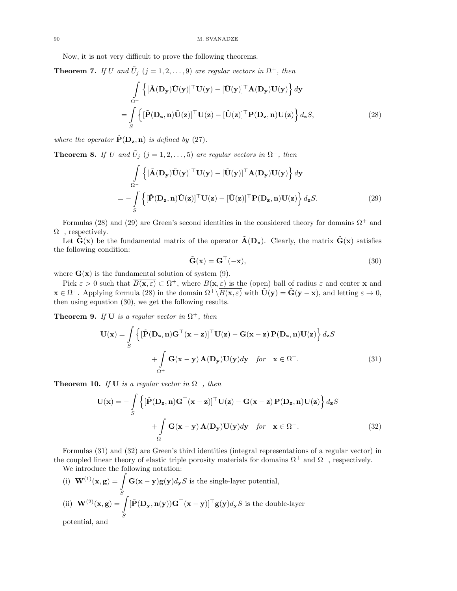Now, it is not very difficult to prove the following theorems.

**Theorem 7.** If U and  $\tilde{U}_j$   $(j = 1, 2, ..., 9)$  are regular vectors in  $\Omega^+$ , then

$$
\int_{\Omega^+} \left\{ \left[ \tilde{\mathbf{A}}(\mathbf{D}_\mathbf{y}) \tilde{\mathbf{U}}(\mathbf{y}) \right]^\top \mathbf{U}(\mathbf{y}) - \left[ \tilde{\mathbf{U}}(\mathbf{y}) \right]^\top \mathbf{A}(\mathbf{D}_\mathbf{y}) \mathbf{U}(\mathbf{y}) \right\} d\mathbf{y} \n= \int_S \left\{ \left[ \tilde{\mathbf{P}}(\mathbf{D}_\mathbf{z}, \mathbf{n}) \tilde{\mathbf{U}}(\mathbf{z}) \right]^\top \mathbf{U}(\mathbf{z}) - \left[ \tilde{\mathbf{U}}(\mathbf{z}) \right]^\top \mathbf{P}(\mathbf{D}_\mathbf{z}, \mathbf{n}) \mathbf{U}(\mathbf{z}) \right\} d_{\mathbf{z}} S,
$$
\n(28)

where the operator  $\tilde{P}(D_z, n)$  is defined by (27).

**Theorem 8.** If U and  $\tilde{U}_j$  (j = 1, 2, ..., 5) are regular vectors in  $\Omega^-$ , then

$$
\int_{\Omega^{-}} \left\{ \left[ \tilde{\mathbf{A}}(\mathbf{D}_{\mathbf{y}}) \tilde{\mathbf{U}}(\mathbf{y}) \right]^{\top} \mathbf{U}(\mathbf{y}) - \left[ \tilde{\mathbf{U}}(\mathbf{y}) \right]^{\top} \mathbf{A}(\mathbf{D}_{\mathbf{y}}) \mathbf{U}(\mathbf{y}) \right\} d\mathbf{y}
$$
\n
$$
= - \int_{S} \left\{ \left[ \tilde{\mathbf{P}}(\mathbf{D}_{\mathbf{z}}, \mathbf{n}) \tilde{\mathbf{U}}(\mathbf{z}) \right]^{\top} \mathbf{U}(\mathbf{z}) - \left[ \tilde{\mathbf{U}}(\mathbf{z}) \right]^{\top} \mathbf{P}(\mathbf{D}_{\mathbf{z}}, \mathbf{n}) \mathbf{U}(\mathbf{z}) \right\} d_{\mathbf{z}} S. \tag{29}
$$

Formulas (28) and (29) are Green's second identities in the considered theory for domains  $\Omega^+$  and  $\Omega^-$ , respectively.

Let  $\tilde{G}(x)$  be the fundamental matrix of the operator  $\tilde{A}(D_x)$ . Clearly, the matrix  $\tilde{G}(x)$  satisfies the following condition:

$$
\tilde{\mathbf{G}}(\mathbf{x}) = \mathbf{G}^{\top}(-\mathbf{x}),\tag{30}
$$

where  $\mathbf{G}(\mathbf{x})$  is the fundamental solution of system (9).

Pick  $\varepsilon > 0$  such that  $\overline{B(x,\varepsilon)} \subset \Omega^+$ , where  $B(x,\varepsilon)$  is the (open) ball of radius  $\varepsilon$  and center x and  $\mathbf{x} \in \Omega^+$ . Applying formula (28) in the domain  $\Omega^+ \backslash \overline{B(\mathbf{x}, \varepsilon)}$  with  $\tilde{\mathbf{U}}(\mathbf{y}) = \tilde{\mathbf{G}}(\mathbf{y} - \mathbf{x})$ , and letting  $\varepsilon \to 0$ , then using equation (30), we get the following results.

**Theorem 9.** If **U** is a regular vector in  $\Omega^+$ , then

$$
\mathbf{U}(\mathbf{x}) = \int_{S} \left\{ \left[ \tilde{\mathbf{P}}(\mathbf{D}_{\mathbf{z}}, \mathbf{n}) \mathbf{G}^{\top}(\mathbf{x} - \mathbf{z}) \right]^{\top} \mathbf{U}(\mathbf{z}) - \mathbf{G}(\mathbf{x} - \mathbf{z}) \mathbf{P}(\mathbf{D}_{\mathbf{z}}, \mathbf{n}) \mathbf{U}(\mathbf{z}) \right\} d_{\mathbf{z}} S + \int_{\Omega^{+}} \mathbf{G}(\mathbf{x} - \mathbf{y}) \mathbf{A}(\mathbf{D}_{\mathbf{y}}) \mathbf{U}(\mathbf{y}) d\mathbf{y} \quad \text{for} \quad \mathbf{x} \in \Omega^{+}.
$$
 (31)

**Theorem 10.** If **U** is a regular vector in  $\Omega^-$ , then

$$
\mathbf{U}(\mathbf{x}) = -\int_{S} \left\{ \left[ \tilde{\mathbf{P}}(\mathbf{D}_{\mathbf{z}}, \mathbf{n}) \mathbf{G}^{\top}(\mathbf{x} - \mathbf{z}) \right]^{\top} \mathbf{U}(\mathbf{z}) - \mathbf{G}(\mathbf{x} - \mathbf{z}) \mathbf{P}(\mathbf{D}_{\mathbf{z}}, \mathbf{n}) \mathbf{U}(\mathbf{z}) \right\} d_{\mathbf{z}} S + \int_{\Omega^{-}} \mathbf{G}(\mathbf{x} - \mathbf{y}) \mathbf{A}(\mathbf{D}_{\mathbf{y}}) \mathbf{U}(\mathbf{y}) d\mathbf{y} \quad \text{for} \quad \mathbf{x} \in \Omega^{-}.
$$
 (32)

Formulas (31) and (32) are Green's third identities (integral representations of a regular vector) in the coupled linear theory of elastic triple porosity materials for domains  $\Omega^+$  and  $\Omega^-$ , respectively. We introduce the following notation:

(i)  ${\bf W}^{(1)}({\bf x},{\bf g}) = \bf \int$ S  $\mathbf{G}(\mathbf{x}-\mathbf{y})\mathbf{g}(\mathbf{y})d_{\mathbf{y}}S$  is the single-layer potential, (ii)  ${\bf W}^{(2)}({\bf x},{\bf g}) =$ S  $[\tilde{\mathbf{P}}(\mathbf{D}_{\mathbf{y}}, \mathbf{n}(\mathbf{y}))\mathbf{G}^{\top}(\mathbf{x}-\mathbf{y})]^{\top}\mathbf{g}(\mathbf{y})d_{\mathbf{y}}S$  is the double-layer potential, and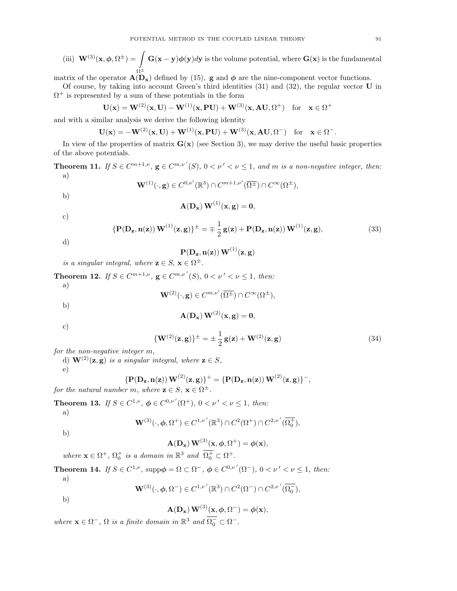(iii) 
$$
\mathbf{W}^{(3)}(\mathbf{x}, \phi, \Omega^{\pm}) = \int \mathbf{G}(\mathbf{x} - \mathbf{y})\phi(\mathbf{y})d\mathbf{y}
$$
 is the volume potential, where  $\mathbf{G}(\mathbf{x})$  is the fundamental

matrix of the operator  $\mathbf{A}(\mathbf{D}_{\mathbf{x}})$  defined by (15), g and  $\phi$  are the nine-component vector functions.

Of course, by taking into account Green's third identities  $(31)$  and  $(32)$ , the regular vector **U** in  $\Omega^+$  is represented by a sum of these potentials in the form

$$
\mathbf{U}(\mathbf{x}) = \mathbf{W}^{(2)}(\mathbf{x}, \mathbf{U}) - \mathbf{W}^{(1)}(\mathbf{x}, \mathbf{P} \mathbf{U}) + \mathbf{W}^{(3)}(\mathbf{x}, \mathbf{A} \mathbf{U}, \Omega^{+}) \text{ for } \mathbf{x} \in \Omega^{+}
$$

and with a similar analysis we derive the following identity

$$
\mathbf{U}(\mathbf{x}) = -\mathbf{W}^{(2)}(\mathbf{x}, \mathbf{U}) + \mathbf{W}^{(1)}(\mathbf{x}, \mathbf{P} \mathbf{U}) + \mathbf{W}^{(3)}(\mathbf{x}, \mathbf{A} \mathbf{U}, \Omega^{-}) \text{ for } \mathbf{x} \in \Omega^{-}.
$$

In view of the properties of matrix  $\mathbf{G}(\mathbf{x})$  (see Section 3), we may derive the useful basic properties of the above potentials.

**Theorem 11.** If  $S \in C^{m+1,\nu}$ ,  $\mathbf{g} \in C^{m,\nu'}(S)$ ,  $0 < \nu' < \nu \leq 1$ , and m is a non-negative integer, then: a)

$$
\mathbf{W}^{(1)}(\cdot, \mathbf{g}) \in C^{0,\nu'}(\mathbb{R}^3) \cap C^{m+1,\nu'}(\overline{\Omega^{\pm}}) \cap C^{\infty}(\Omega^{\pm}),
$$

b)

$$
\mathbf{A}(\mathbf{D}_{\mathbf{x}}) \, \mathbf{W}^{(1)}(\mathbf{x}, \mathbf{g}) = \mathbf{0},
$$

c)

$$
\left\{ \mathbf{P}(\mathbf{D}_{\mathbf{z}}, \mathbf{n}(\mathbf{z})) \mathbf{W}^{(1)}(\mathbf{z}, \mathbf{g}) \right\}^{\pm} = \mp \frac{1}{2} \mathbf{g}(\mathbf{z}) + \mathbf{P}(\mathbf{D}_{\mathbf{z}}, \mathbf{n}(\mathbf{z})) \mathbf{W}^{(1)}(\mathbf{z}, \mathbf{g}), \tag{33}
$$

d)

$$
\mathbf{P}(\mathbf{D}_{\mathbf{z}}, \mathbf{n}(\mathbf{z}))\,\mathbf{W}^{(1)}(\mathbf{z},\mathbf{g})
$$

is a singular integral, where  $\mathbf{z} \in S$ ,  $\mathbf{x} \in \Omega^{\pm}$ .

**Theorem 12.** If  $S \in C^{m+1,\nu}$ ,  $g \in C^{m,\nu'}(S)$ ,  $0 < \nu' < \nu \le 1$ , then: a)

$$
\mathbf{W}^{(2)}(\cdot,\mathbf{g})\in C^{m,\nu'}(\overline{\Omega^\pm})\cap C^\infty(\Omega^\pm),
$$

$$
\mathbf{A}(\mathbf{D}_{\mathbf{x}}) \mathbf{W}^{(2)}(\mathbf{x}, \mathbf{g}) = \mathbf{0},
$$

c)

b)

$$
\left\{ \mathbf{W}^{(2)}(\mathbf{z},\mathbf{g}) \right\}^{\pm} = \pm \frac{1}{2} \mathbf{g}(\mathbf{z}) + \mathbf{W}^{(2)}(\mathbf{z},\mathbf{g}) \tag{34}
$$

for the non-negative integer m,

d)  $\mathbf{W}^{(2)}(\mathbf{z}, \mathbf{g})$  is a singular integral, where  $\mathbf{z} \in S$ ,

e)

$$
\{ {\bf P}({\bf D_{z}}, {\bf n(z)}) \, {\bf W}^{(2)}({\bf z}, {\bf g}) \}^{+} = \{ {\bf P}({\bf D_{z}}, {\bf n(z)}) \, {\bf W}^{(2)}({\bf z}, {\bf g}) \}^{-},
$$

for the natural number m, where  $\mathbf{z} \in S$ ,  $\mathbf{x} \in \Omega^{\pm}$ .

**Theorem 13.** If  $S \in C^{1,\nu}$ ,  $\phi \in C^{0,\nu'}(\Omega^+), 0 < \nu' < \nu \le 1$ , then: a)

$$
\mathbf{W}^{(3)}(\cdot,\phi,\Omega^{+})\in C^{1,\nu'}(\mathbb{R}^{3})\cap C^{2}(\Omega^{+})\cap C^{2,\nu'}(\overline{\Omega_{0}^{+}}),
$$

b)

$$
\mathbf{A}(\mathbf{D}_{\mathbf{x}}) \mathbf{W}^{(3)}(\mathbf{x}, \phi, \Omega^{+}) = \phi(\mathbf{x}),
$$

where  $\mathbf{x} \in \Omega^+$ ,  $\Omega_0^+$  is a domain in  $\mathbb{R}^3$  and  $\overline{\Omega_0^+} \subset \Omega^+$ .

**Theorem 14.** If  $S \in C^{1,\nu}$ ,  $\text{supp}\phi = \Omega \subset \Omega^-$ ,  $\phi \in C^{0,\nu'}(\Omega^-)$ ,  $0 < \nu' < \nu \le 1$ , then:

a)

$$
\mathbf{W}^{(3)}(\cdot,\phi,\Omega^-) \in C^{1,\nu'}(\mathbb{R}^3) \cap C^2(\Omega^-) \cap C^{2,\nu'}(\overline{\Omega_0^-}),
$$

b)

$$
\mathbf{A}(\mathbf{D}_{\mathbf{x}}) \mathbf{W}^{(3)}(\mathbf{x}, \phi, \Omega^{-}) = \phi(\mathbf{x}),
$$

where  $\mathbf{x} \in \Omega^-$ ,  $\Omega$  is a finite domain in  $\mathbb{R}^3$  and  $\overline{\Omega_0^-} \subset \Omega^-$ .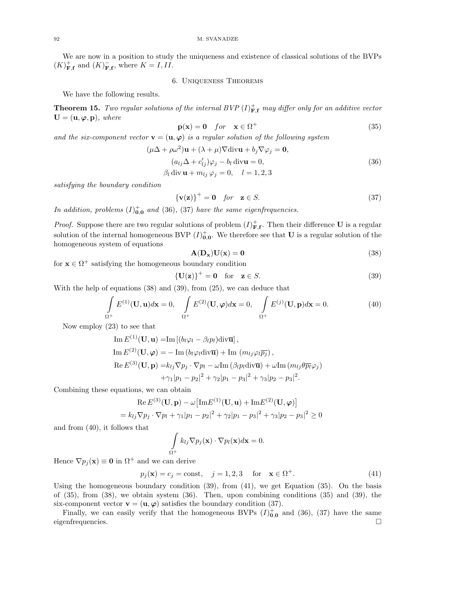We are now in a position to study the uniqueness and existence of classical solutions of the BVPs  $(K)_{\mathbf{F},\mathbf{f}}^+$  and  $(K)_{\mathbf{F},\mathbf{f}}^-$ , where  $K = I, II$ .

6. Uniqueness Theorems

We have the following results.

**Theorem 15.** Two regular solutions of the internal BVP  $(I)_{\mathbf{F,f}}^+$  may differ only for an additive vector  $\mathbf{U} = (\mathbf{u}, \boldsymbol{\varphi}, \mathbf{p}),$  where

$$
\mathbf{p}(\mathbf{x}) = \mathbf{0} \quad for \quad \mathbf{x} \in \Omega^+ \tag{35}
$$

and the six-component vector  $\mathbf{v} = (\mathbf{u}, \varphi)$  is a regular solution of the following system

$$
(\mu \Delta + \rho \omega^2) \mathbf{u} + (\lambda + \mu) \nabla \text{div} \mathbf{u} + b_j \nabla \varphi_j = \mathbf{0},
$$
  
\n
$$
(a_{lj} \Delta + c'_{lj}) \varphi_j - b_l \text{div} \mathbf{u} = 0,
$$
  
\n
$$
\beta_l \text{div} \mathbf{u} + m_{lj} \varphi_j = 0, \quad l = 1, 2, 3
$$
\n(36)

satisfying the boundary condition

$$
\{v(z)\}^+ = 0 \quad \text{for} \quad z \in S. \tag{37}
$$

In addition, problems  $(I)_{0,0}^{+}$  and (36), (37) have the same eigenfrequencies.

*Proof.* Suppose there are two regular solutions of problem  $(I)_{\mathbf{F},\mathbf{f}}^+$ . Then their difference **U** is a regular solution of the internal homogeneous BVP  $(I)_{0,0}^+$ . We therefore see that U is a regular solution of the homogeneous system of equations

$$
A(D_x)U(x) = 0
$$
\n(38)

for  $\mathbf{x} \in \Omega^+$  satisfying the homogeneous boundary condition

$$
\{U(z)\}^+ = 0 \quad \text{for} \quad z \in S. \tag{39}
$$

With the help of equations (38) and (39), from (25), we can deduce that

$$
\int_{\Omega^+} E^{(1)}(\mathbf{U}, \mathbf{u}) d\mathbf{x} = 0, \quad \int_{\Omega^+} E^{(2)}(\mathbf{U}, \boldsymbol{\varphi}) d\mathbf{x} = 0, \quad \int_{\Omega^+} E^{(j)}(\mathbf{U}, \mathbf{p}) d\mathbf{x} = 0.
$$
\n(40)

Now employ (23) to see that

Im 
$$
E^{(1)}(\mathbf{U}, \mathbf{u}) = \text{Im} [(b_l \varphi_l - \beta_l p_l) \text{div} \overline{\mathbf{u}}],
$$
  
\nIm  $E^{(2)}(\mathbf{U}, \varphi) = - \text{Im} (b_l \varphi_l \text{div} \overline{\mathbf{u}}) + \text{Im} (m_{lj} \varphi_l \overline{p_j}),$   
\nRe  $E^{(3)}(\mathbf{U}, \mathbf{p}) = k_{lj} \nabla p_j \cdot \nabla p_l - \omega \text{Im} (\beta_l p_l \text{div} \overline{\mathbf{u}}) + \omega \text{Im} (m_{lj} \theta \overline{p_l} \varphi_j)$   
\n $+ \gamma_1 |p_1 - p_2|^2 + \gamma_2 |p_1 - p_3|^2 + \gamma_3 |p_2 - p_3|^2.$ 

Combining these equations, we can obtain

$$
\operatorname{Re} E^{(3)}(\mathbf{U}, \mathbf{p}) - \omega \left[ \operatorname{Im} E^{(1)}(\mathbf{U}, \mathbf{u}) + \operatorname{Im} E^{(2)}(\mathbf{U}, \boldsymbol{\varphi}) \right]
$$
  
=  $k_{lj} \nabla p_j \cdot \nabla p_l + \gamma_1 |p_1 - p_2|^2 + \gamma_2 |p_1 - p_3|^2 + \gamma_3 |p_2 - p_3|^2 \ge 0$ 

and from (40), it follows that

$$
\int_{\Omega^+} k_{lj} \nabla p_j(\mathbf{x}) \cdot \nabla p_l(\mathbf{x}) d\mathbf{x} = 0.
$$

Hence  $\nabla p_i(\mathbf{x}) \equiv \mathbf{0}$  in  $\Omega^+$  and we can derive

$$
p_j(\mathbf{x}) = c_j = \text{const}, \quad j = 1, 2, 3 \quad \text{for} \quad \mathbf{x} \in \Omega^+. \tag{41}
$$

Using the homogeneous boundary condition  $(39)$ , from  $(41)$ , we get Equation  $(35)$ . On the basis of  $(35)$ , from  $(38)$ , we obtain system  $(36)$ . Then, upon combining conditions  $(35)$  and  $(39)$ , the six-component vector  $\mathbf{v} = (\mathbf{u}, \varphi)$  satisfies the boundary condition (37).

Finally, we can easily verify that the homogeneous BVPs  $(I)_{0,0}^+$  and  $(36)$ ,  $(37)$  have the same eigenfrequencies.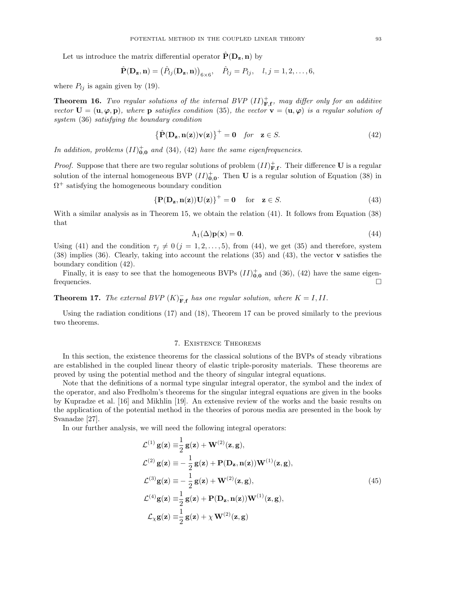Let us introduce the matrix differential operator  $\hat{P}(D_z, n)$  by

$$
\hat{\mathbf{P}}(\mathbf{D}_{\mathbf{z}}, \mathbf{n}) = (\hat{P}_{lj}(\mathbf{D}_{\mathbf{z}}, \mathbf{n}))_{6 \times 6}, \quad \hat{P}_{lj} = P_{lj}, \quad l, j = 1, 2, \dots, 6,
$$

where  $P_{lj}$  is again given by (19).

**Theorem 16.** Two regular solutions of the internal BVP  $(II)_{\mathbf{F},\mathbf{f}}^+$ , may differ only for an additive vector  $\mathbf{U} = (\mathbf{u}, \varphi, \mathbf{p})$ , where  $\mathbf{p}$  satisfies condition (35), the vector  $\mathbf{v} = (\mathbf{u}, \varphi)$  is a regular solution of system (36) satisfying the boundary condition

$$
\left\{\hat{\mathbf{P}}(\mathbf{D_z}, \mathbf{n(z)})\mathbf{v(z)}\right\}^+ = \mathbf{0} \quad \text{for} \quad \mathbf{z} \in S. \tag{42}
$$

In addition, problems  $(II)_{0,0}^+$  and  $(34)$ ,  $(42)$  have the same eigenfrequencies.

*Proof.* Suppose that there are two regular solutions of problem  $(II)_{\mathbf{F},\mathbf{f}}^+$ . Their difference U is a regular solution of the internal homogeneous BVP  $(II)_{0,0}^+$ . Then U is a regular solution of Equation (38) in  $\Omega^+$  satisfying the homogeneous boundary condition

$$
\left\{ \mathbf{P}(\mathbf{D}_{\mathbf{z}}, \mathbf{n}(\mathbf{z})) \mathbf{U}(\mathbf{z}) \right\}^+ = \mathbf{0} \quad \text{for} \quad \mathbf{z} \in S. \tag{43}
$$

With a similar analysis as in Theorem 15, we obtain the relation (41). It follows from Equation (38) that

$$
\Lambda_1(\Delta)\mathbf{p}(\mathbf{x}) = \mathbf{0}.\tag{44}
$$

Using (41) and the condition  $\tau_j \neq 0$   $(j = 1, 2, ..., 5)$ , from (44), we get (35) and therefore, system (38) implies (36). Clearly, taking into account the relations (35) and (43), the vector v satisfies the boundary condition (42).

Finally, it is easy to see that the homogeneous BVPs  $(II)_{0,0}^+$  and  $(36)$ ,  $(42)$  have the same eigenfrequencies.

**Theorem 17.** The external BVP  $(K)_{\mathbf{F},\mathbf{f}}^-$  has one regular solution, where  $K = I, II$ .

Using the radiation conditions (17) and (18), Theorem 17 can be proved similarly to the previous two theorems.

### 7. Existence Theorems

In this section, the existence theorems for the classical solutions of the BVPs of steady vibrations are established in the coupled linear theory of elastic triple-porosity materials. These theorems are proved by using the potential method and the theory of singular integral equations.

Note that the definitions of a normal type singular integral operator, the symbol and the index of the operator, and also Fredholm's theorems for the singular integral equations are given in the books by Kupradze et al. [16] and Mikhlin [19]. An extensive review of the works and the basic results on the application of the potential method in the theories of porous media are presented in the book by Svanadze [27].

In our further analysis, we will need the following integral operators:

$$
\mathcal{L}^{(1)} g(\mathbf{z}) = \frac{1}{2} g(\mathbf{z}) + \mathbf{W}^{(2)}(\mathbf{z}, \mathbf{g}),
$$
  
\n
$$
\mathcal{L}^{(2)} g(\mathbf{z}) = -\frac{1}{2} g(\mathbf{z}) + \mathbf{P}(\mathbf{D}_{\mathbf{z}}, \mathbf{n}(\mathbf{z})) \mathbf{W}^{(1)}(\mathbf{z}, \mathbf{g}),
$$
  
\n
$$
\mathcal{L}^{(3)} g(\mathbf{z}) = -\frac{1}{2} g(\mathbf{z}) + \mathbf{W}^{(2)}(\mathbf{z}, \mathbf{g}),
$$
  
\n
$$
\mathcal{L}^{(4)} g(\mathbf{z}) = \frac{1}{2} g(\mathbf{z}) + \mathbf{P}(\mathbf{D}_{\mathbf{z}}, \mathbf{n}(\mathbf{z})) \mathbf{W}^{(1)}(\mathbf{z}, \mathbf{g}),
$$
  
\n
$$
\mathcal{L}_{\chi} g(\mathbf{z}) = \frac{1}{2} g(\mathbf{z}) + \chi \mathbf{W}^{(2)}(\mathbf{z}, \mathbf{g})
$$
\n(45)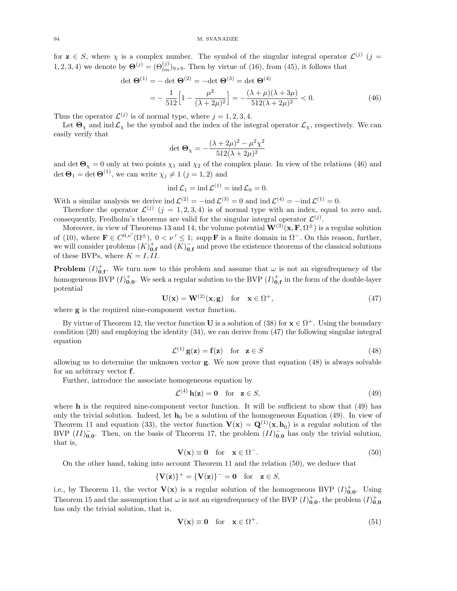for  $z \in S$ , where  $\chi$  is a complex number. The symbol of the singular integral operator  $\mathcal{L}^{(j)}$  (j = 1, 2, 3, 4) we denote by  $\mathbf{\Theta}^{(j)} = (\Theta_{lm}^{(j)})_{9\times 9}$ . Then by virtue of (16), from (45), it follows that

$$
\det \Theta^{(1)} = -\det \Theta^{(2)} = -\det \Theta^{(3)} = \det \Theta^{(4)}
$$

$$
= -\frac{1}{512} \Big[ 1 - \frac{\mu^2}{(\lambda + 2\mu)^2} \Big] = -\frac{(\lambda + \mu)(\lambda + 3\mu)}{512(\lambda + 2\mu)^2} < 0.
$$
(46)

Thus the operator  $\mathcal{L}^{(j)}$  is of normal type, where  $j = 1, 2, 3, 4$ .

Let  $\Theta_{\chi}$  and ind  $\mathcal{L}_{\chi}$  be the symbol and the index of the integral operator  $\mathcal{L}_{\chi}$ , respectively. We can easily verify that

$$
\det \Theta_{\chi} = -\frac{(\lambda + 2\mu)^2 - \mu^2 \chi^2}{512(\lambda + 2\mu)^2}
$$

and det  $\Theta_{\chi} = 0$  only at two points  $\chi_1$  and  $\chi_2$  of the complex plane. In view of the relations (46) and det  $\mathbf{\Theta}_1 = \det \mathbf{\Theta}^{(1)}$ , we can write  $\chi_j \neq 1$   $(j = 1, 2)$  and

$$
\operatorname{ind} \mathcal{L}_1 = \operatorname{ind} \mathcal{L}^{(1)} = \operatorname{ind} \mathcal{L}_0 = 0.
$$

With a similar analysis we derive ind  $\mathcal{L}^{(2)} = -\text{ind }\mathcal{L}^{(3)} = 0$  and  $\text{ind }\mathcal{L}^{(4)} = -\text{ind }\mathcal{L}^{(1)} = 0$ .

Therefore the operator  $\mathcal{L}^{(j)}$   $(j = 1, 2, 3, 4)$  is of normal type with an index, equal to zero and, consequently, Fredholm's theorems are valid for the singular integral operator  $\mathcal{L}^{(j)}$ .

Moreover, in view of Theorems 13 and 14, the volume potential  $\mathbf{W}^{(3)}(\mathbf{x}, \mathbf{F}, \Omega^{\pm})$  is a regular solution of (10), where  $\mathbf{F} \in C^{0,\nu'}(\Omega^{\pm}), 0 < \nu' \leq 1$ ; supp  $\mathbf{F}$  is a finite domain in  $\Omega^-$ . On this reason, further, we will consider problems  $(K)_{0,\mathbf{f}}^+$  and  $(K)_{0,\mathbf{f}}^-$  and prove the existence theorems of the classical solutions of these BVPs, where  $K = I, II$ .

**Problem**  $(I)_{0,\mathbf{f}}^{\dagger}$ . We turn now to this problem and assume that  $\omega$  is not an eigenfrequency of the homogeneous BVP  $(I)_{0,0}^+$ . We seek a regular solution to the BVP  $(I)_{0,\mathbf{f}}^+$  in the form of the double-layer potential

$$
\mathbf{U}(\mathbf{x}) = \mathbf{W}^{(2)}(\mathbf{x}, \mathbf{g}) \quad \text{for} \quad \mathbf{x} \in \Omega^+, \tag{47}
$$

where g is the required nine-component vector function.

By virtue of Theorem 12, the vector function **U** is a solution of (38) for  $\mathbf{x} \in \Omega^+$ . Using the boundary condition (20) and employing the identity (34), we can derive from (47) the following singular integral equation

$$
\mathcal{L}^{(1)}\mathbf{g}(\mathbf{z}) = \mathbf{f}(\mathbf{z}) \quad \text{for} \quad \mathbf{z} \in S \tag{48}
$$

allowing us to determine the unknown vector g. We now prove that equation (48) is always solvable for an arbitrary vector f.

Further, introduce the associate homogeneous equation by

$$
\mathcal{L}^{(4)}\mathbf{h}(\mathbf{z}) = \mathbf{0} \quad \text{for} \quad \mathbf{z} \in S,\tag{49}
$$

where  **is the required nine-component vector function. It will be sufficient to show that**  $(49)$  **has** only the trivial solution. Indeed, let  $\mathbf{h}_0$  be a solution of the homogeneous Equation (49). In view of Theorem 11 and equation (33), the vector function  $\mathbf{V}(\mathbf{x}) = \mathbf{Q}^{(1)}(\mathbf{x}, \mathbf{h}_0)$  is a regular solution of the BVP  $(II)_{0,0}^-$ . Then, on the basis of Theorem 17, the problem  $(II)_{0,0}^-$  has only the trivial solution, that is,

$$
\mathbf{V}(\mathbf{x}) \equiv \mathbf{0} \quad \text{for} \quad \mathbf{x} \in \Omega^-.
$$
 (50)

On the other hand, taking into account Theorem 11 and the relation (50), we deduce that

$$
\{V(z)\}^+ = \{V(z)\}^- = 0 \text{ for } z \in S,
$$

i.e., by Theorem 11, the vector  $\mathbf{V}(\mathbf{x})$  is a regular solution of the homogeneous BVP  $(I)^{+}_{0,0}$ . Using Theorem 15 and the assumption that  $\omega$  is not an eigenfrequency of the BVP  $(I)_{0,0}^+$ , the problem  $(I)_{0,0}^+$ has only the trivial solution, that is,

$$
\mathbf{V}(\mathbf{x}) \equiv \mathbf{0} \quad \text{for} \quad \mathbf{x} \in \Omega^{+}.\tag{51}
$$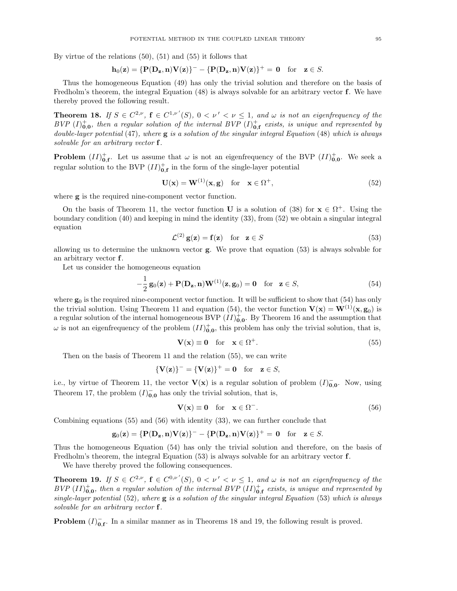By virtue of the relations (50), (51) and (55) it follows that

$$
\mathbf{h}_0(\mathbf{z}) = \{\mathbf{P}(\mathbf{D_z},\mathbf{n})\mathbf{V}(\mathbf{z})\}^- - \{\mathbf{P}(\mathbf{D_z},\mathbf{n})\mathbf{V}(\mathbf{z})\}^+ = \mathbf{0} \quad \text{for} \quad \mathbf{z} \in S.
$$

Thus the homogeneous Equation (49) has only the trivial solution and therefore on the basis of Fredholm's theorem, the integral Equation (48) is always solvable for an arbitrary vector **f**. We have thereby proved the following result.

**Theorem 18.** If  $S \in C^{2,\nu}$ ,  $f \in C^{1,\nu'}(S)$ ,  $0 < \nu' < \nu \leq 1$ , and  $\omega$  is not an eigenfrequency of the BVP  $(I)_{\mathbf{0},\mathbf{0}}^+$ , then a regular solution of the internal BVP  $(I)_{\mathbf{0},\mathbf{f}}^+$  exists, is unique and represented by double-layer potential  $(47)$ , where  $g$  is a solution of the singular integral Equation  $(48)$  which is always solvable for an arbitrary vector f.

**Problem**  $(II)_{0,\mathbf{f}}^+$ . Let us assume that  $\omega$  is not an eigenfrequency of the BVP  $(II)_{0,0}^+$ . We seek a regular solution to the BVP  $(II)_{0,\mathbf{f}}^+$  in the form of the single-layer potential

$$
\mathbf{U}(\mathbf{x}) = \mathbf{W}^{(1)}(\mathbf{x}, \mathbf{g}) \quad \text{for} \quad \mathbf{x} \in \Omega^{+}, \tag{52}
$$

where **g** is the required nine-component vector function.

On the basis of Theorem 11, the vector function **U** is a solution of (38) for  $\mathbf{x} \in \Omega^+$ . Using the boundary condition (40) and keeping in mind the identity (33), from (52) we obtain a singular integral equation

$$
\mathcal{L}^{(2)}\mathbf{g}(\mathbf{z}) = \mathbf{f}(\mathbf{z}) \quad \text{for} \quad \mathbf{z} \in S \tag{53}
$$

allowing us to determine the unknown vector g. We prove that equation (53) is always solvable for an arbitrary vector f.

Let us consider the homogeneous equation

$$
-\frac{1}{2}\mathbf{g}_0(\mathbf{z}) + \mathbf{P}(\mathbf{D}_{\mathbf{z}}, \mathbf{n})\mathbf{W}^{(1)}(\mathbf{z}, \mathbf{g}_0) = \mathbf{0} \quad \text{for} \quad \mathbf{z} \in S,
$$
\n(54)

where  $\mathbf{g}_0$  is the required nine-component vector function. It will be sufficient to show that (54) has only the trivial solution. Using Theorem 11 and equation (54), the vector function  $\mathbf{V}(\mathbf{x}) = \mathbf{W}^{(1)}(\mathbf{x}, \mathbf{g}_0)$  is a regular solution of the internal homogeneous BVP  $(II)_{0,0}^+$ . By Theorem 16 and the assumption that  $\omega$  is not an eigenfrequency of the problem  $(II)_{0,0}^+$ , this problem has only the trivial solution, that is,

$$
\mathbf{V}(\mathbf{x}) \equiv \mathbf{0} \quad \text{for} \quad \mathbf{x} \in \Omega^{+}.\tag{55}
$$

Then on the basis of Theorem 11 and the relation (55), we can write

$$
\{V(z)\}^- = \{V(z)\}^+ = 0 \text{ for } z \in S,
$$

i.e., by virtue of Theorem 11, the vector  $\mathbf{V}(\mathbf{x})$  is a regular solution of problem  $(I)_{0,0}^-$ . Now, using Theorem 17, the problem  $(I)_{0,0}^-$  has only the trivial solution, that is,

$$
\mathbf{V}(\mathbf{x}) \equiv \mathbf{0} \quad \text{for} \quad \mathbf{x} \in \Omega^-.
$$
 (56)

Combining equations (55) and (56) with identity (33), we can further conclude that

$$
\mathbf{g}_0(\mathbf{z}) = \{\mathbf{P}(\mathbf{D}_{\mathbf{z}}, \mathbf{n})\mathbf{V}(\mathbf{z})\}^- - \{\mathbf{P}(\mathbf{D}_{\mathbf{z}}, \mathbf{n})\mathbf{V}(\mathbf{z})\}^+ = \mathbf{0} \quad \text{for} \quad \mathbf{z} \in S.
$$

Thus the homogeneous Equation (54) has only the trivial solution and therefore, on the basis of Fredholm's theorem, the integral Equation (53) is always solvable for an arbitrary vector f.

We have thereby proved the following consequences.

**Theorem 19.** If  $S \in C^{2,\nu}$ ,  $f \in C^{0,\nu'}(S)$ ,  $0 < \nu' < \nu \leq 1$ , and  $\omega$  is not an eigenfrequency of the  $BVP (II)_{0,0}^+$ , then a regular solution of the internal  $BVP (II)_{0,\text{f}}^+$  exists, is unique and represented by single-layer potential  $(52)$ , where **g** is a solution of the singular integral Equation  $(53)$  which is always solvable for an arbitrary vector f.

**Problem**  $(I)_{0,\mathbf{f}}^-$ . In a similar manner as in Theorems 18 and 19, the following result is proved.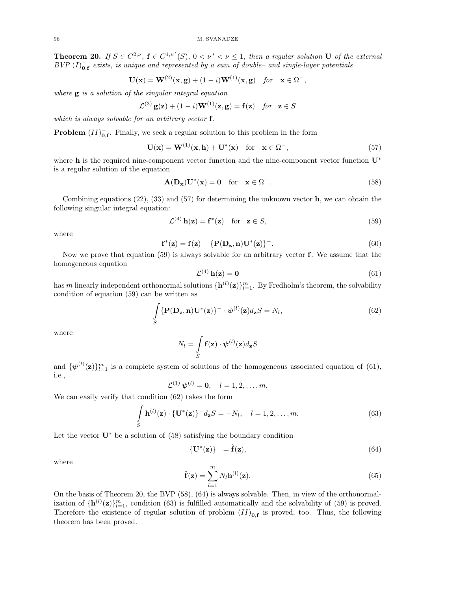**Theorem 20.** If  $S \in C^{2,\nu}$ ,  $\mathbf{f} \in C^{1,\nu'}(S)$ ,  $0 < \nu' < \nu \leq 1$ , then a regular solution U of the external  $BVP (I)_{0, f}^-$  exists, is unique and represented by a sum of double- and single-layer potentials

$$
\mathbf{U}(\mathbf{x}) = \mathbf{W}^{(2)}(\mathbf{x}, \mathbf{g}) + (1 - i)\mathbf{W}^{(1)}(\mathbf{x}, \mathbf{g}) \quad \text{for} \quad \mathbf{x} \in \Omega^-,
$$

where  $g$  is a solution of the singular integral equation

$$
\mathcal{L}^{(3)}\mathbf{g}(\mathbf{z}) + (1-i)\mathbf{W}^{(1)}(\mathbf{z}, \mathbf{g}) = \mathbf{f}(\mathbf{z}) \quad \text{for} \quad \mathbf{z} \in S
$$

which is always solvable for an arbitrary vector **f**.

**Problem**  $(II)_{0,\mathbf{f}}^-$ . Finally, we seek a regular solution to this problem in the form

$$
\mathbf{U}(\mathbf{x}) = \mathbf{W}^{(1)}(\mathbf{x}, \mathbf{h}) + \mathbf{U}^*(\mathbf{x}) \quad \text{for} \quad \mathbf{x} \in \Omega^-, \tag{57}
$$

where **h** is the required nine-component vector function and the nine-component vector function **U**<sup>∗</sup> is a regular solution of the equation

$$
\mathbf{A}(\mathbf{D}_{\mathbf{x}})\mathbf{U}^*(\mathbf{x}) = \mathbf{0} \quad \text{for} \quad \mathbf{x} \in \Omega^-.
$$
 (58)

Combining equations  $(22)$ ,  $(33)$  and  $(57)$  for determining the unknown vector **h**, we can obtain the following singular integral equation:

$$
\mathcal{L}^{(4)}\mathbf{h}(\mathbf{z}) = \mathbf{f}^*(\mathbf{z}) \quad \text{for} \quad \mathbf{z} \in S,
$$
\n(59)

where

$$
\mathbf{f}^*(\mathbf{z}) = \mathbf{f}(\mathbf{z}) - \{ \mathbf{P}(\mathbf{D}_{\mathbf{z}}, \mathbf{n}) \mathbf{U}^*(\mathbf{z}) \}^{-}.
$$
 (60)

Now we prove that equation  $(59)$  is always solvable for an arbitrary vector **f**. We assume that the homogeneous equation

$$
\mathcal{L}^{(4)}\,\mathbf{h}(\mathbf{z}) = \mathbf{0} \tag{61}
$$

has m linearly independent orthonormal solutions  $\{\mathbf{h}^{(l)}(\mathbf{z})\}_{l=1}^m$ . By Fredholm's theorem, the solvability condition of equation (59) can be written as

$$
\int_{S} {\mathbf{P}(\mathbf{D}_{\mathbf{z}}, \mathbf{n}) \mathbf{U}^*(\mathbf{z})}^{-} \cdot \boldsymbol{\psi}^{(l)}(\mathbf{z}) d_{\mathbf{z}} S = N_l,
$$
\n(62)

where

$$
N_l = \int_{S} \mathbf{f}(\mathbf{z}) \cdot \boldsymbol{\psi}^{(l)}(\mathbf{z}) d_{\mathbf{z}} S
$$

and  ${\{\psi^{(l)}(\mathbf{z})\}}_{l=1}^m$  is a complete system of solutions of the homogeneous associated equation of (61), i.e.,

$$
\mathcal{L}^{(1)}\,\psi^{(l)}=\mathbf{0},\quad l=1,2,\ldots,m.
$$

We can easily verify that condition (62) takes the form

$$
\int_{S} \mathbf{h}^{(l)}(\mathbf{z}) \cdot \{ \mathbf{U}^*(\mathbf{z}) \}^- d_{\mathbf{z}} S = -N_l, \quad l = 1, 2, \dots, m.
$$
\n(63)

Let the vector  $\mathbf{U}^*$  be a solution of (58) satisfying the boundary condition

$$
\{\mathbf U^*(\mathbf z)\}^- = \hat{\mathbf f}(\mathbf z),\tag{64}
$$

where

$$
\hat{\mathbf{f}}(\mathbf{z}) = \sum_{l=1}^{m} N_l \mathbf{h}^{(l)}(\mathbf{z}).
$$
\n(65)

On the basis of Theorem 20, the BVP (58), (64) is always solvable. Then, in view of the orthonormalization of  ${\bf h}^{(l)}({\bf z})\}_{l=1}^m$ , condition (63) is fulfilled automatically and the solvability of (59) is proved. Therefore the existence of regular solution of problem  $(II)_{0,\mathbf{f}}^-$  is proved, too. Thus, the following theorem has been proved.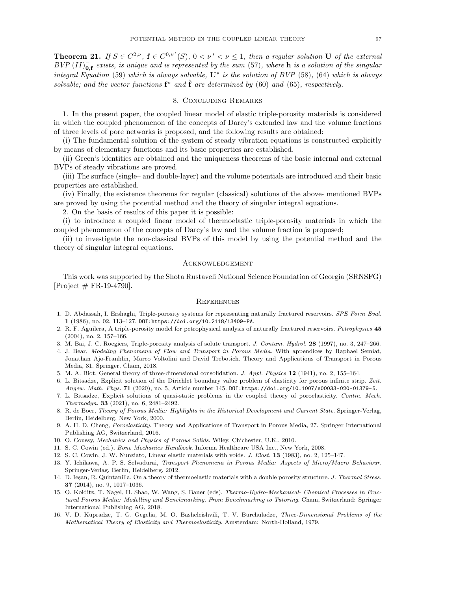**Theorem 21.** If  $S \in C^{2,\nu}$ ,  $\mathbf{f} \in C^{0,\nu'}(S)$ ,  $0 < \nu' < \nu \leq 1$ , then a regular solution U of the external  $BVP (II)_{0,\textbf{f}}^-$  exists, is unique and is represented by the sum (57), where h is a solution of the singular integral Equation (59) which is always solvable,  $U^*$  is the solution of BVP (58), (64) which is always solvable; and the vector functions  $f^*$  and  $\hat{f}$  are determined by (60) and (65), respectively.

### 8. Concluding Remarks

1. In the present paper, the coupled linear model of elastic triple-porosity materials is considered in which the coupled phenomenon of the concepts of Darcy's extended law and the volume fractions of three levels of pore networks is proposed, and the following results are obtained:

(i) The fundamental solution of the system of steady vibration equations is constructed explicitly by means of elementary functions and its basic properties are established.

(ii) Green's identities are obtained and the uniqueness theorems of the basic internal and external BVPs of steady vibrations are proved.

(iii) The surface (single– and double-layer) and the volume potentials are introduced and their basic properties are established.

(iv) Finally, the existence theorems for regular (classical) solutions of the above- mentioned BVPs are proved by using the potential method and the theory of singular integral equations.

2. On the basis of results of this paper it is possible:

(i) to introduce a coupled linear model of thermoelastic triple-porosity materials in which the coupled phenomenon of the concepts of Darcy's law and the volume fraction is proposed;

(ii) to investigate the non-classical BVPs of this model by using the potential method and the theory of singular integral equations.

#### Acknowledgement

This work was supported by the Shota Rustaveli National Science Foundation of Georgia (SRNSFG)  $[Project \# FR-19-4790].$ 

#### **REFERENCES**

- 1. D. Abdassah, I. Ershaghi, Triple-porosity systems for representing naturally fractured reservoirs. SPE Form Eval. 1 (1986), no. 02, 113–127. DOI:https://doi.org/10.2118/13409-PA.
- 2. R. F. Aguilera, A triple-porosity model for petrophysical analysis of naturally fractured reservoirs. Petrophysics 45 (2004), no. 2, 157–166.
- 3. M. Bai, J. C. Roegiers, Triple-porosity analysis of solute transport. J. Contam. Hydrol. 28 (1997), no. 3, 247–266.
- 4. J. Bear, Modeling Phenomena of Flow and Transport in Porous Media. With appendices by Raphael Semiat, Jonathan Ajo-Franklin, Marco Voltolini and David Trebotich. Theory and Applications of Transport in Porous Media, 31. Springer, Cham, 2018.
- 5. M. A. Biot, General theory of three-dimensional consolidation. J. Appl. Physics 12 (1941), no. 2, 155–164.
- 6. L. Bitsadze, Explicit solution of the Dirichlet boundary value problem of elasticity for porous infinite strip. Zeit. Angew. Math. Phys. 71 (2020), no. 5, Article number 145. DOI:https://doi.org/10.1007/s00033-020-01379-5.
- 7. L. Bitsadze, Explicit solutions of quasi-static problems in the coupled theory of poroelasticity. Contin. Mech. Thermodyn. 33 (2021), no. 6, 2481–2492.
- 8. R. de Boer, Theory of Porous Media: Highlights in the Historical Development and Current State. Springer-Verlag, Berlin, Heidelberg, New York, 2000.
- 9. A. H. D. Cheng, Poroelasticity. Theory and Applications of Transport in Porous Media, 27. Springer International Publishing AG, Switzerland, 2016.
- 10. O. Coussy, Mechanics and Physics of Porous Solids. Wiley, Chichester, U.K., 2010.
- 11. S. C. Cowin (ed.), Bone Mechanics Handbook. Informa Healthcare USA Inc., New York, 2008.
- 12. S. C. Cowin, J. W. Nunziato, Linear elastic materials with voids. J. Elast. 13 (1983), no. 2, 125–147.
- 13. Y. Ichikawa, A. P. S. Selvadurai, Transport Phenomena in Porous Media: Aspects of Micro/Macro Behaviour. Springer-Verlag, Berlin, Heidelberg, 2012.
- 14. D. Iesan, R. Quintanilla, On a theory of thermoelastic materials with a double porosity structure. J. Thermal Stress. 37 (2014), no. 9, 1017–1036.
- 15. O. Kolditz, T. Nagel, H. Shao, W. Wang, S. Bauer (eds), Thermo-Hydro-Mechanical- Chemical Processes in Fractured Porous Media: Modelling and Benchmarking. From Benchmarking to Tutoring. Cham, Switzerland: Springer International Publishing AG, 2018.
- 16. V. D. Kupradze, T. G. Gegelia, M. O. Basheleishvili, T. V. Burchuladze, Three-Dimensional Problems of the Mathematical Theory of Elasticity and Thermoelasticity. Amsterdam: North-Holland, 1979.